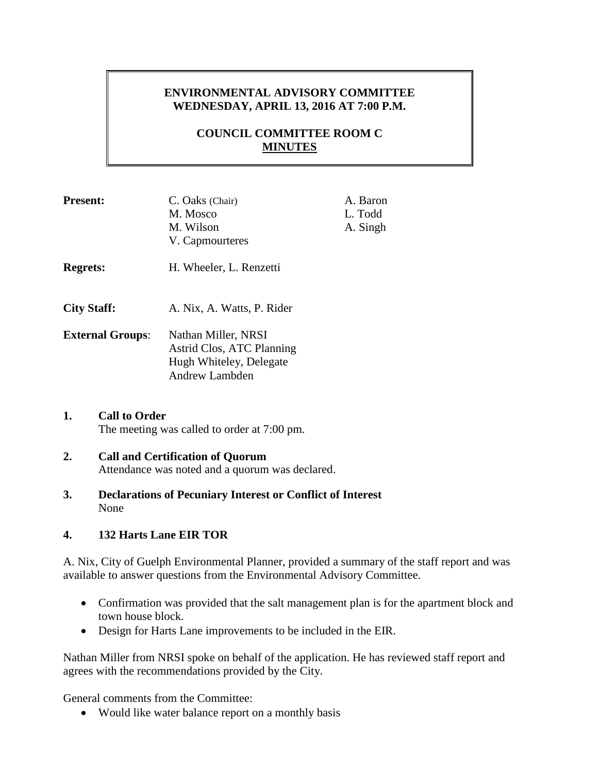# **ENVIRONMENTAL ADVISORY COMMITTEE WEDNESDAY, APRIL 13, 2016 AT 7:00 P.M.**

# **COUNCIL COMMITTEE ROOM C MINUTES**

| <b>Present:</b>         | C. Oaks (Chair)            | A. Baron |
|-------------------------|----------------------------|----------|
|                         | M. Mosco                   | L. Todd  |
|                         | M. Wilson                  | A. Singh |
|                         | V. Capmourteres            |          |
| <b>Regrets:</b>         | H. Wheeler, L. Renzetti    |          |
| <b>City Staff:</b>      | A. Nix, A. Watts, P. Rider |          |
| <b>External Groups:</b> | Nathan Miller, NRSI        |          |
|                         | Astrid Clos, ATC Planning  |          |
|                         | Hugh Whiteley, Delegate    |          |
|                         | <b>Andrew Lambden</b>      |          |

### **1. Call to Order** The meeting was called to order at 7:00 pm.

### **2. Call and Certification of Quorum** Attendance was noted and a quorum was declared.

**3. Declarations of Pecuniary Interest or Conflict of Interest** None

## **4. 132 Harts Lane EIR TOR**

A. Nix, City of Guelph Environmental Planner, provided a summary of the staff report and was available to answer questions from the Environmental Advisory Committee.

- Confirmation was provided that the salt management plan is for the apartment block and town house block.
- Design for Harts Lane improvements to be included in the EIR.

Nathan Miller from NRSI spoke on behalf of the application. He has reviewed staff report and agrees with the recommendations provided by the City.

General comments from the Committee:

• Would like water balance report on a monthly basis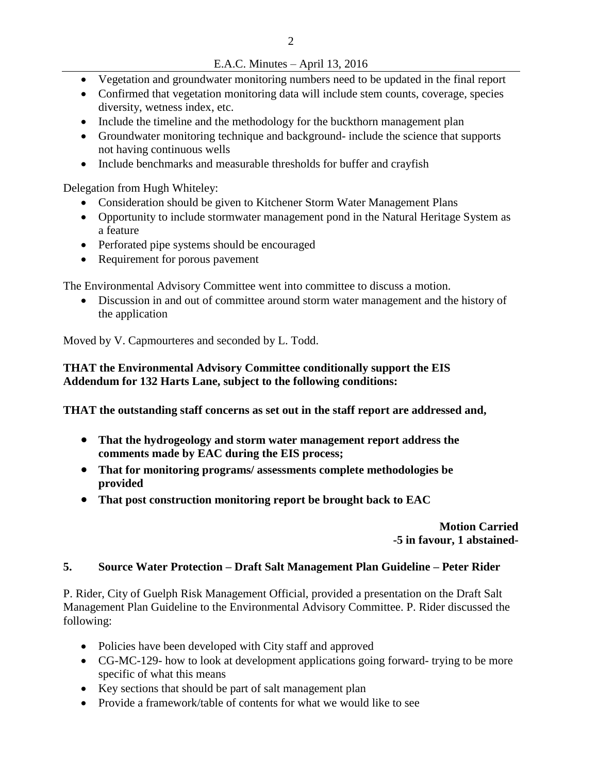## E.A.C. Minutes – April 13, 2016

- Vegetation and groundwater monitoring numbers need to be updated in the final report
- Confirmed that vegetation monitoring data will include stem counts, coverage, species diversity, wetness index, etc.
- Include the timeline and the methodology for the buckthorn management plan
- Groundwater monitoring technique and background- include the science that supports not having continuous wells
- Include benchmarks and measurable thresholds for buffer and crayfish

Delegation from Hugh Whiteley:

- Consideration should be given to Kitchener Storm Water Management Plans
- Opportunity to include stormwater management pond in the Natural Heritage System as a feature
- Perforated pipe systems should be encouraged
- Requirement for porous pavement

The Environmental Advisory Committee went into committee to discuss a motion.

 Discussion in and out of committee around storm water management and the history of the application

Moved by V. Capmourteres and seconded by L. Todd.

## **THAT the Environmental Advisory Committee conditionally support the EIS Addendum for 132 Harts Lane, subject to the following conditions:**

**THAT the outstanding staff concerns as set out in the staff report are addressed and,**

- **That the hydrogeology and storm water management report address the comments made by EAC during the EIS process;**
- **That for monitoring programs/ assessments complete methodologies be provided**
- **That post construction monitoring report be brought back to EAC**

**Motion Carried -5 in favour, 1 abstained-**

## **5. Source Water Protection – Draft Salt Management Plan Guideline – Peter Rider**

P. Rider, City of Guelph Risk Management Official, provided a presentation on the Draft Salt Management Plan Guideline to the Environmental Advisory Committee. P. Rider discussed the following:

- Policies have been developed with City staff and approved
- CG-MC-129- how to look at development applications going forward- trying to be more specific of what this means
- Key sections that should be part of salt management plan
- Provide a framework/table of contents for what we would like to see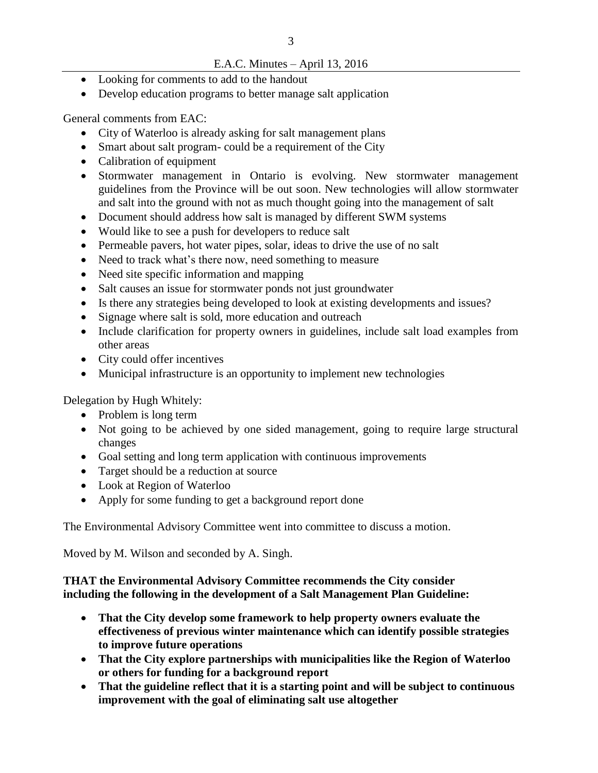### E.A.C. Minutes – April 13, 2016

- Looking for comments to add to the handout
- Develop education programs to better manage salt application

General comments from EAC:

- City of Waterloo is already asking for salt management plans
- Smart about salt program- could be a requirement of the City
- Calibration of equipment
- Stormwater management in Ontario is evolving. New stormwater management guidelines from the Province will be out soon. New technologies will allow stormwater and salt into the ground with not as much thought going into the management of salt
- Document should address how salt is managed by different SWM systems
- Would like to see a push for developers to reduce salt
- Permeable pavers, hot water pipes, solar, ideas to drive the use of no salt
- Need to track what's there now, need something to measure
- Need site specific information and mapping
- Salt causes an issue for stormwater ponds not just groundwater
- Is there any strategies being developed to look at existing developments and issues?
- Signage where salt is sold, more education and outreach
- Include clarification for property owners in guidelines, include salt load examples from other areas
- City could offer incentives
- Municipal infrastructure is an opportunity to implement new technologies

Delegation by Hugh Whitely:

- Problem is long term
- Not going to be achieved by one sided management, going to require large structural changes
- Goal setting and long term application with continuous improvements
- Target should be a reduction at source
- Look at Region of Waterloo
- Apply for some funding to get a background report done

The Environmental Advisory Committee went into committee to discuss a motion.

Moved by M. Wilson and seconded by A. Singh.

## **THAT the Environmental Advisory Committee recommends the City consider including the following in the development of a Salt Management Plan Guideline:**

- **That the City develop some framework to help property owners evaluate the effectiveness of previous winter maintenance which can identify possible strategies to improve future operations**
- **That the City explore partnerships with municipalities like the Region of Waterloo or others for funding for a background report**
- **That the guideline reflect that it is a starting point and will be subject to continuous improvement with the goal of eliminating salt use altogether**